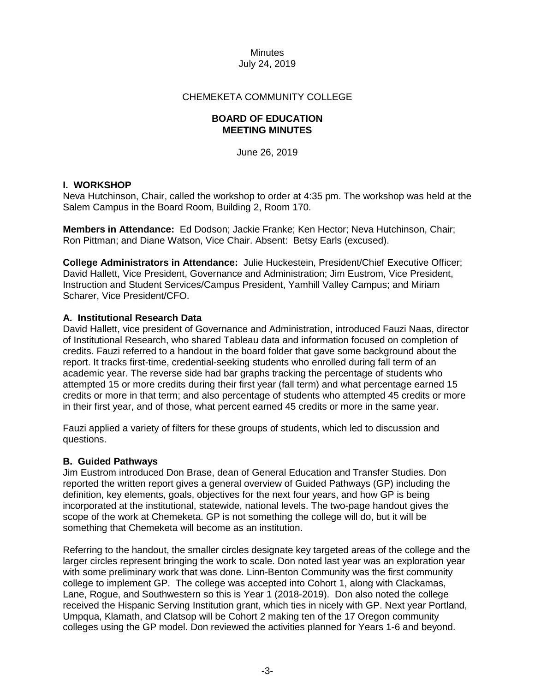# CHEMEKETA COMMUNITY COLLEGE

#### **BOARD OF EDUCATION MEETING MINUTES**

June 26, 2019

# **I. WORKSHOP**

Neva Hutchinson, Chair, called the workshop to order at 4:35 pm. The workshop was held at the Salem Campus in the Board Room, Building 2, Room 170.

**Members in Attendance:** Ed Dodson; Jackie Franke; Ken Hector; Neva Hutchinson, Chair; Ron Pittman; and Diane Watson, Vice Chair. Absent: Betsy Earls (excused).

**College Administrators in Attendance:** Julie Huckestein, President/Chief Executive Officer; David Hallett, Vice President, Governance and Administration; Jim Eustrom, Vice President, Instruction and Student Services/Campus President, Yamhill Valley Campus; and Miriam Scharer, Vice President/CFO.

# **A. Institutional Research Data**

David Hallett, vice president of Governance and Administration, introduced Fauzi Naas, director of Institutional Research, who shared Tableau data and information focused on completion of credits. Fauzi referred to a handout in the board folder that gave some background about the report. It tracks first-time, credential-seeking students who enrolled during fall term of an academic year. The reverse side had bar graphs tracking the percentage of students who attempted 15 or more credits during their first year (fall term) and what percentage earned 15 credits or more in that term; and also percentage of students who attempted 45 credits or more in their first year, and of those, what percent earned 45 credits or more in the same year.

Fauzi applied a variety of filters for these groups of students, which led to discussion and questions.

#### **B. Guided Pathways**

Jim Eustrom introduced Don Brase, dean of General Education and Transfer Studies. Don reported the written report gives a general overview of Guided Pathways (GP) including the definition, key elements, goals, objectives for the next four years, and how GP is being incorporated at the institutional, statewide, national levels. The two-page handout gives the scope of the work at Chemeketa. GP is not something the college will do, but it will be something that Chemeketa will become as an institution.

Referring to the handout, the smaller circles designate key targeted areas of the college and the larger circles represent bringing the work to scale. Don noted last year was an exploration year with some preliminary work that was done. Linn-Benton Community was the first community college to implement GP. The college was accepted into Cohort 1, along with Clackamas, Lane, Rogue, and Southwestern so this is Year 1 (2018-2019). Don also noted the college received the Hispanic Serving Institution grant, which ties in nicely with GP. Next year Portland, Umpqua, Klamath, and Clatsop will be Cohort 2 making ten of the 17 Oregon community colleges using the GP model. Don reviewed the activities planned for Years 1-6 and beyond.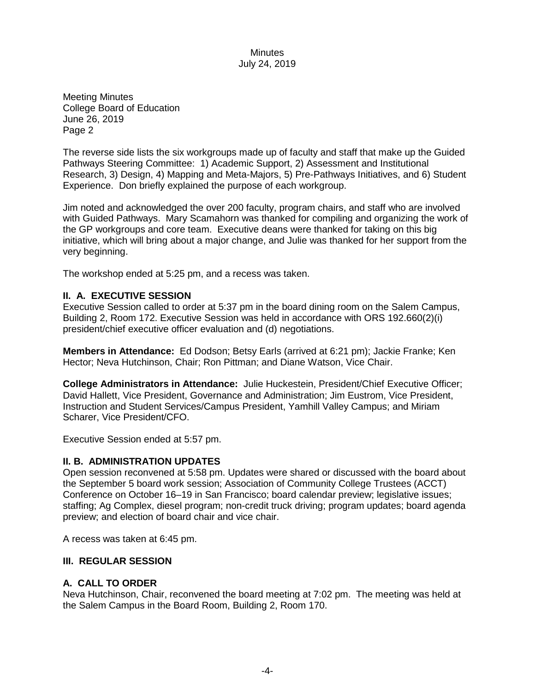Meeting Minutes College Board of Education June 26, 2019 Page 2

The reverse side lists the six workgroups made up of faculty and staff that make up the Guided Pathways Steering Committee: 1) Academic Support, 2) Assessment and Institutional Research, 3) Design, 4) Mapping and Meta-Majors, 5) Pre-Pathways Initiatives, and 6) Student Experience. Don briefly explained the purpose of each workgroup.

Jim noted and acknowledged the over 200 faculty, program chairs, and staff who are involved with Guided Pathways. Mary Scamahorn was thanked for compiling and organizing the work of the GP workgroups and core team. Executive deans were thanked for taking on this big initiative, which will bring about a major change, and Julie was thanked for her support from the very beginning.

The workshop ended at 5:25 pm, and a recess was taken.

# **II. A. EXECUTIVE SESSION**

Executive Session called to order at 5:37 pm in the board dining room on the Salem Campus, Building 2, Room 172. Executive Session was held in accordance with ORS 192.660(2)(i) president/chief executive officer evaluation and (d) negotiations.

**Members in Attendance:** Ed Dodson; Betsy Earls (arrived at 6:21 pm); Jackie Franke; Ken Hector; Neva Hutchinson, Chair; Ron Pittman; and Diane Watson, Vice Chair.

**College Administrators in Attendance:** Julie Huckestein, President/Chief Executive Officer; David Hallett, Vice President, Governance and Administration; Jim Eustrom, Vice President, Instruction and Student Services/Campus President, Yamhill Valley Campus; and Miriam Scharer, Vice President/CFO.

Executive Session ended at 5:57 pm.

# **II. B. ADMINISTRATION UPDATES**

Open session reconvened at 5:58 pm. Updates were shared or discussed with the board about the September 5 board work session; Association of Community College Trustees (ACCT) Conference on October 16–19 in San Francisco; board calendar preview; legislative issues; staffing; Ag Complex, diesel program; non-credit truck driving; program updates; board agenda preview; and election of board chair and vice chair.

A recess was taken at 6:45 pm.

#### **III. REGULAR SESSION**

# **A. CALL TO ORDER**

Neva Hutchinson, Chair, reconvened the board meeting at 7:02 pm. The meeting was held at the Salem Campus in the Board Room, Building 2, Room 170.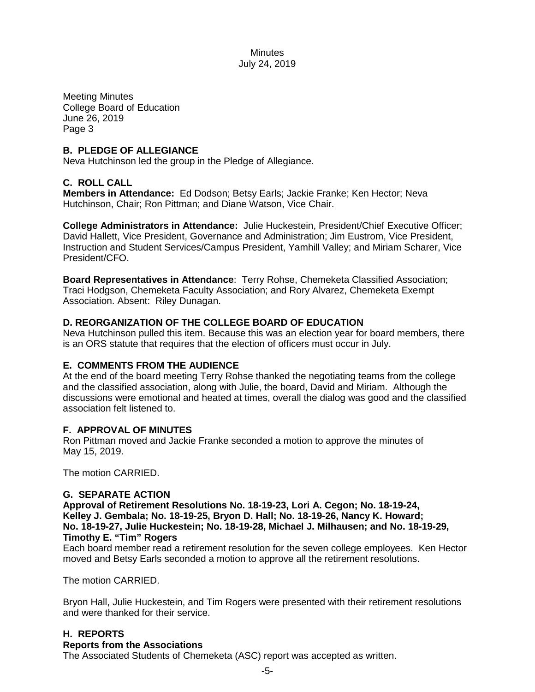Meeting Minutes College Board of Education June 26, 2019 Page 3

# **B. PLEDGE OF ALLEGIANCE**

Neva Hutchinson led the group in the Pledge of Allegiance.

# **C. ROLL CALL**

**Members in Attendance:** Ed Dodson; Betsy Earls; Jackie Franke; Ken Hector; Neva Hutchinson, Chair; Ron Pittman; and Diane Watson, Vice Chair.

**College Administrators in Attendance:** Julie Huckestein, President/Chief Executive Officer; David Hallett, Vice President, Governance and Administration; Jim Eustrom, Vice President, Instruction and Student Services/Campus President, Yamhill Valley; and Miriam Scharer, Vice President/CFO.

**Board Representatives in Attendance**: Terry Rohse, Chemeketa Classified Association; Traci Hodgson, Chemeketa Faculty Association; and Rory Alvarez, Chemeketa Exempt Association. Absent: Riley Dunagan.

# **D. REORGANIZATION OF THE COLLEGE BOARD OF EDUCATION**

Neva Hutchinson pulled this item. Because this was an election year for board members, there is an ORS statute that requires that the election of officers must occur in July.

# **E. COMMENTS FROM THE AUDIENCE**

At the end of the board meeting Terry Rohse thanked the negotiating teams from the college and the classified association, along with Julie, the board, David and Miriam. Although the discussions were emotional and heated at times, overall the dialog was good and the classified association felt listened to.

#### **F. APPROVAL OF MINUTES**

Ron Pittman moved and Jackie Franke seconded a motion to approve the minutes of May 15, 2019.

The motion CARRIED.

#### **G. SEPARATE ACTION**

**Approval of Retirement Resolutions No. 18-19-23, Lori A. Cegon; No. 18-19-24, Kelley J. Gembala; No. 18-19-25, Bryon D. Hall; No. 18-19-26, Nancy K. Howard; No. 18-19-27, Julie Huckestein; No. 18-19-28, Michael J. Milhausen; and No. 18-19-29, Timothy E. "Tim" Rogers**

Each board member read a retirement resolution for the seven college employees. Ken Hector moved and Betsy Earls seconded a motion to approve all the retirement resolutions.

The motion CARRIED.

Bryon Hall, Julie Huckestein, and Tim Rogers were presented with their retirement resolutions and were thanked for their service.

# **H. REPORTS**

# **Reports from the Associations**

The Associated Students of Chemeketa (ASC) report was accepted as written.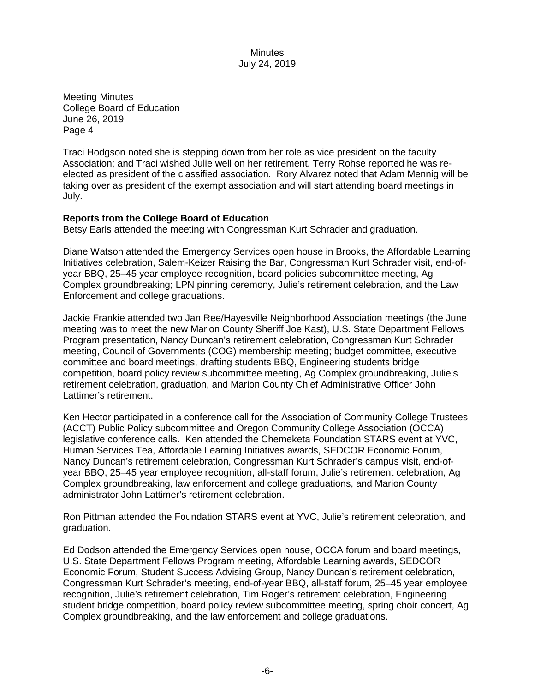Meeting Minutes College Board of Education June 26, 2019 Page 4

Traci Hodgson noted she is stepping down from her role as vice president on the faculty Association; and Traci wished Julie well on her retirement. Terry Rohse reported he was reelected as president of the classified association. Rory Alvarez noted that Adam Mennig will be taking over as president of the exempt association and will start attending board meetings in July.

# **Reports from the College Board of Education**

Betsy Earls attended the meeting with Congressman Kurt Schrader and graduation.

Diane Watson attended the Emergency Services open house in Brooks, the Affordable Learning Initiatives celebration, Salem-Keizer Raising the Bar, Congressman Kurt Schrader visit, end-ofyear BBQ, 25–45 year employee recognition, board policies subcommittee meeting, Ag Complex groundbreaking; LPN pinning ceremony, Julie's retirement celebration, and the Law Enforcement and college graduations.

Jackie Frankie attended two Jan Ree/Hayesville Neighborhood Association meetings (the June meeting was to meet the new Marion County Sheriff Joe Kast), U.S. State Department Fellows Program presentation, Nancy Duncan's retirement celebration, Congressman Kurt Schrader meeting, Council of Governments (COG) membership meeting; budget committee, executive committee and board meetings, drafting students BBQ, Engineering students bridge competition, board policy review subcommittee meeting, Ag Complex groundbreaking, Julie's retirement celebration, graduation, and Marion County Chief Administrative Officer John Lattimer's retirement.

Ken Hector participated in a conference call for the Association of Community College Trustees (ACCT) Public Policy subcommittee and Oregon Community College Association (OCCA) legislative conference calls. Ken attended the Chemeketa Foundation STARS event at YVC, Human Services Tea, Affordable Learning Initiatives awards, SEDCOR Economic Forum, Nancy Duncan's retirement celebration, Congressman Kurt Schrader's campus visit, end-ofyear BBQ, 25–45 year employee recognition, all-staff forum, Julie's retirement celebration, Ag Complex groundbreaking, law enforcement and college graduations, and Marion County administrator John Lattimer's retirement celebration.

Ron Pittman attended the Foundation STARS event at YVC, Julie's retirement celebration, and graduation.

Ed Dodson attended the Emergency Services open house, OCCA forum and board meetings, U.S. State Department Fellows Program meeting, Affordable Learning awards, SEDCOR Economic Forum, Student Success Advising Group, Nancy Duncan's retirement celebration, Congressman Kurt Schrader's meeting, end-of-year BBQ, all-staff forum, 25–45 year employee recognition, Julie's retirement celebration, Tim Roger's retirement celebration, Engineering student bridge competition, board policy review subcommittee meeting, spring choir concert, Ag Complex groundbreaking, and the law enforcement and college graduations.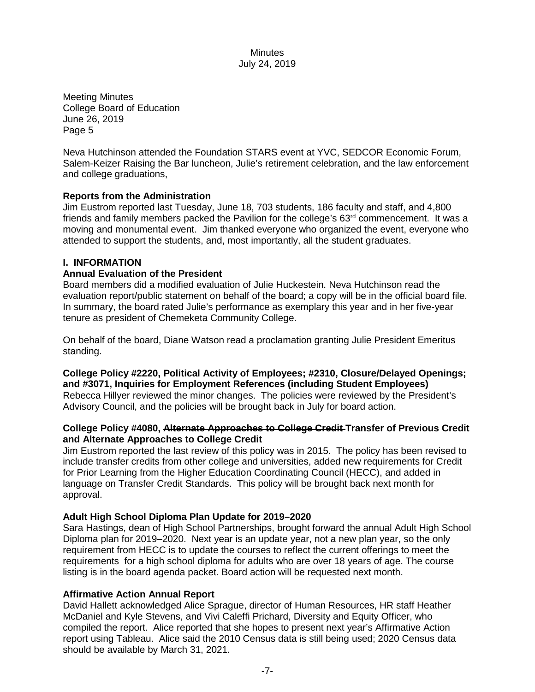Meeting Minutes College Board of Education June 26, 2019 Page 5

Neva Hutchinson attended the Foundation STARS event at YVC, SEDCOR Economic Forum, Salem-Keizer Raising the Bar luncheon, Julie's retirement celebration, and the law enforcement and college graduations,

# **Reports from the Administration**

Jim Eustrom reported last Tuesday, June 18, 703 students, 186 faculty and staff, and 4,800 friends and family members packed the Pavilion for the college's  $63<sup>rd</sup>$  commencement. It was a moving and monumental event. Jim thanked everyone who organized the event, everyone who attended to support the students, and, most importantly, all the student graduates.

#### **I. INFORMATION**

#### **Annual Evaluation of the President**

Board members did a modified evaluation of Julie Huckestein. Neva Hutchinson read the evaluation report/public statement on behalf of the board; a copy will be in the official board file. In summary, the board rated Julie's performance as exemplary this year and in her five-year tenure as president of Chemeketa Community College.

On behalf of the board, Diane Watson read a proclamation granting Julie President Emeritus standing.

**College Policy #2220, Political Activity of Employees; #2310, Closure/Delayed Openings; and #3071, Inquiries for Employment References (including Student Employees)** Rebecca Hillyer reviewed the minor changes. The policies were reviewed by the President's Advisory Council, and the policies will be brought back in July for board action.

# **College Policy #4080, Alternate Approaches to College Credit Transfer of Previous Credit and Alternate Approaches to College Credit**

Jim Eustrom reported the last review of this policy was in 2015. The policy has been revised to include transfer credits from other college and universities, added new requirements for Credit for Prior Learning from the Higher Education Coordinating Council (HECC), and added in language on Transfer Credit Standards. This policy will be brought back next month for approval.

#### **Adult High School Diploma Plan Update for 2019–2020**

Sara Hastings, dean of High School Partnerships, brought forward the annual Adult High School Diploma plan for 2019–2020. Next year is an update year, not a new plan year, so the only requirement from HECC is to update the courses to reflect the current offerings to meet the requirements for a high school diploma for adults who are over 18 years of age. The course listing is in the board agenda packet. Board action will be requested next month.

#### **Affirmative Action Annual Report**

David Hallett acknowledged Alice Sprague, director of Human Resources, HR staff Heather McDaniel and Kyle Stevens, and Vivi Caleffi Prichard, Diversity and Equity Officer, who compiled the report. Alice reported that she hopes to present next year's Affirmative Action report using Tableau. Alice said the 2010 Census data is still being used; 2020 Census data should be available by March 31, 2021.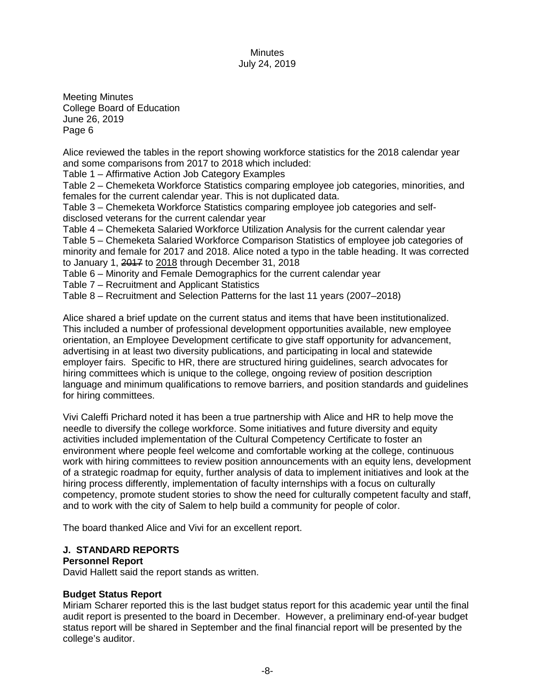Meeting Minutes College Board of Education June 26, 2019 Page 6

Alice reviewed the tables in the report showing workforce statistics for the 2018 calendar year and some comparisons from 2017 to 2018 which included:

Table 1 – Affirmative Action Job Category Examples

Table 2 – Chemeketa Workforce Statistics comparing employee job categories, minorities, and females for the current calendar year. This is not duplicated data.

Table 3 – Chemeketa Workforce Statistics comparing employee job categories and selfdisclosed veterans for the current calendar year

Table 4 – Chemeketa Salaried Workforce Utilization Analysis for the current calendar year Table 5 – Chemeketa Salaried Workforce Comparison Statistics of employee job categories of minority and female for 2017 and 2018. Alice noted a typo in the table heading. It was corrected to January 1, 2017 to 2018 through December 31, 2018

Table 6 – Minority and Female Demographics for the current calendar year

Table 7 – Recruitment and Applicant Statistics

Table 8 – Recruitment and Selection Patterns for the last 11 years (2007–2018)

Alice shared a brief update on the current status and items that have been institutionalized. This included a number of professional development opportunities available, new employee orientation, an Employee Development certificate to give staff opportunity for advancement, advertising in at least two diversity publications, and participating in local and statewide employer fairs. Specific to HR, there are structured hiring guidelines, search advocates for hiring committees which is unique to the college, ongoing review of position description language and minimum qualifications to remove barriers, and position standards and guidelines for hiring committees.

Vivi Caleffi Prichard noted it has been a true partnership with Alice and HR to help move the needle to diversify the college workforce. Some initiatives and future diversity and equity activities included implementation of the Cultural Competency Certificate to foster an environment where people feel welcome and comfortable working at the college, continuous work with hiring committees to review position announcements with an equity lens, development of a strategic roadmap for equity, further analysis of data to implement initiatives and look at the hiring process differently, implementation of faculty internships with a focus on culturally competency, promote student stories to show the need for culturally competent faculty and staff, and to work with the city of Salem to help build a community for people of color.

The board thanked Alice and Vivi for an excellent report.

# **J. STANDARD REPORTS**

#### **Personnel Report**

David Hallett said the report stands as written.

# **Budget Status Report**

Miriam Scharer reported this is the last budget status report for this academic year until the final audit report is presented to the board in December. However, a preliminary end-of-year budget status report will be shared in September and the final financial report will be presented by the college's auditor.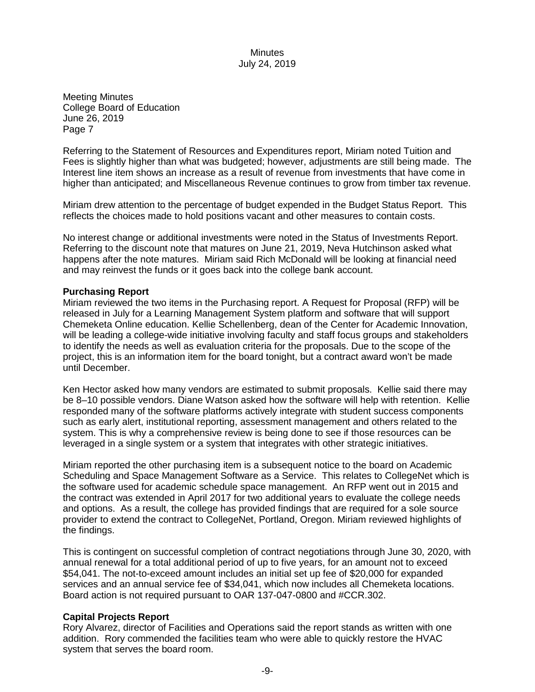Meeting Minutes College Board of Education June 26, 2019 Page 7

Referring to the Statement of Resources and Expenditures report, Miriam noted Tuition and Fees is slightly higher than what was budgeted; however, adjustments are still being made. The Interest line item shows an increase as a result of revenue from investments that have come in higher than anticipated; and Miscellaneous Revenue continues to grow from timber tax revenue.

Miriam drew attention to the percentage of budget expended in the Budget Status Report. This reflects the choices made to hold positions vacant and other measures to contain costs.

No interest change or additional investments were noted in the Status of Investments Report. Referring to the discount note that matures on June 21, 2019, Neva Hutchinson asked what happens after the note matures. Miriam said Rich McDonald will be looking at financial need and may reinvest the funds or it goes back into the college bank account.

#### **Purchasing Report**

Miriam reviewed the two items in the Purchasing report. A Request for Proposal (RFP) will be released in July for a Learning Management System platform and software that will support Chemeketa Online education. Kellie Schellenberg, dean of the Center for Academic Innovation, will be leading a college-wide initiative involving faculty and staff focus groups and stakeholders to identify the needs as well as evaluation criteria for the proposals. Due to the scope of the project, this is an information item for the board tonight, but a contract award won't be made until December.

Ken Hector asked how many vendors are estimated to submit proposals. Kellie said there may be 8–10 possible vendors. Diane Watson asked how the software will help with retention. Kellie responded many of the software platforms actively integrate with student success components such as early alert, institutional reporting, assessment management and others related to the system. This is why a comprehensive review is being done to see if those resources can be leveraged in a single system or a system that integrates with other strategic initiatives.

Miriam reported the other purchasing item is a subsequent notice to the board on Academic Scheduling and Space Management Software as a Service. This relates to CollegeNet which is the software used for academic schedule space management. An RFP went out in 2015 and the contract was extended in April 2017 for two additional years to evaluate the college needs and options. As a result, the college has provided findings that are required for a sole source provider to extend the contract to CollegeNet, Portland, Oregon. Miriam reviewed highlights of the findings.

This is contingent on successful completion of contract negotiations through June 30, 2020, with annual renewal for a total additional period of up to five years, for an amount not to exceed \$54,041. The not-to-exceed amount includes an initial set up fee of \$20,000 for expanded services and an annual service fee of \$34,041, which now includes all Chemeketa locations. Board action is not required pursuant to OAR 137-047-0800 and #CCR.302.

#### **Capital Projects Report**

Rory Alvarez, director of Facilities and Operations said the report stands as written with one addition. Rory commended the facilities team who were able to quickly restore the HVAC system that serves the board room.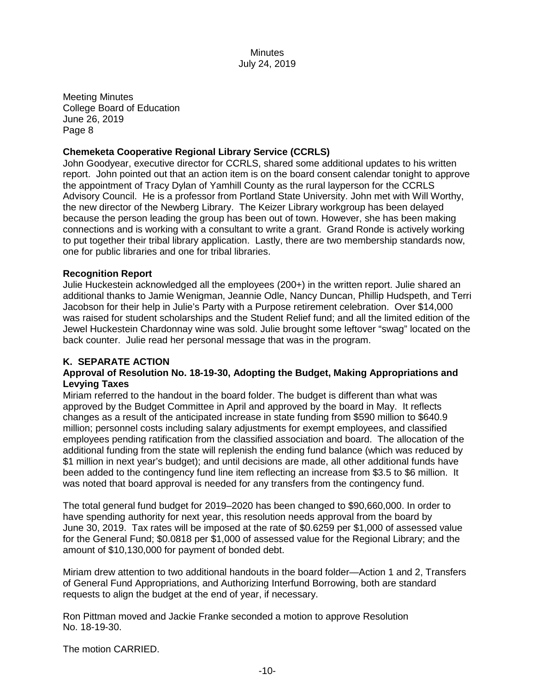Meeting Minutes College Board of Education June 26, 2019 Page 8

# **Chemeketa Cooperative Regional Library Service (CCRLS)**

John Goodyear, executive director for CCRLS, shared some additional updates to his written report. John pointed out that an action item is on the board consent calendar tonight to approve the appointment of Tracy Dylan of Yamhill County as the rural layperson for the CCRLS Advisory Council. He is a professor from Portland State University. John met with Will Worthy, the new director of the Newberg Library. The Keizer Library workgroup has been delayed because the person leading the group has been out of town. However, she has been making connections and is working with a consultant to write a grant. Grand Ronde is actively working to put together their tribal library application. Lastly, there are two membership standards now, one for public libraries and one for tribal libraries.

# **Recognition Report**

Julie Huckestein acknowledged all the employees (200+) in the written report. Julie shared an additional thanks to Jamie Wenigman, Jeannie Odle, Nancy Duncan, Phillip Hudspeth, and Terri Jacobson for their help in Julie's Party with a Purpose retirement celebration. Over \$14,000 was raised for student scholarships and the Student Relief fund; and all the limited edition of the Jewel Huckestein Chardonnay wine was sold. Julie brought some leftover "swag" located on the back counter. Julie read her personal message that was in the program.

# **K. SEPARATE ACTION**

# **Approval of Resolution No. 18-19-30, Adopting the Budget, Making Appropriations and Levying Taxes**

Miriam referred to the handout in the board folder. The budget is different than what was approved by the Budget Committee in April and approved by the board in May. It reflects changes as a result of the anticipated increase in state funding from \$590 million to \$640.9 million; personnel costs including salary adjustments for exempt employees, and classified employees pending ratification from the classified association and board. The allocation of the additional funding from the state will replenish the ending fund balance (which was reduced by \$1 million in next year's budget); and until decisions are made, all other additional funds have been added to the contingency fund line item reflecting an increase from \$3.5 to \$6 million. It was noted that board approval is needed for any transfers from the contingency fund.

The total general fund budget for 2019–2020 has been changed to \$90,660,000. In order to have spending authority for next year, this resolution needs approval from the board by June 30, 2019. Tax rates will be imposed at the rate of \$0.6259 per \$1,000 of assessed value for the General Fund; \$0.0818 per \$1,000 of assessed value for the Regional Library; and the amount of \$10,130,000 for payment of bonded debt.

Miriam drew attention to two additional handouts in the board folder—Action 1 and 2, Transfers of General Fund Appropriations, and Authorizing Interfund Borrowing, both are standard requests to align the budget at the end of year, if necessary.

Ron Pittman moved and Jackie Franke seconded a motion to approve Resolution No. 18-19-30.

The motion CARRIED.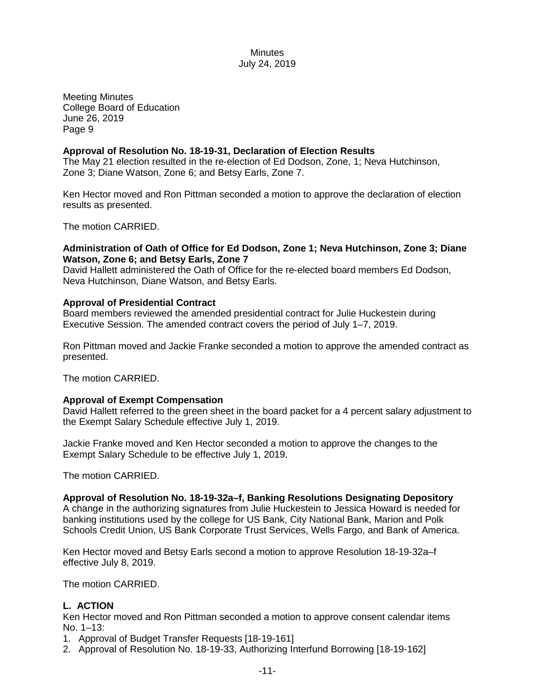Meeting Minutes College Board of Education June 26, 2019 Page 9

# **Approval of Resolution No. 18-19-31, Declaration of Election Results**

The May 21 election resulted in the re-election of Ed Dodson, Zone, 1; Neva Hutchinson, Zone 3; Diane Watson, Zone 6; and Betsy Earls, Zone 7.

Ken Hector moved and Ron Pittman seconded a motion to approve the declaration of election results as presented.

The motion CARRIED.

#### **Administration of Oath of Office for Ed Dodson, Zone 1; Neva Hutchinson, Zone 3; Diane Watson, Zone 6; and Betsy Earls, Zone 7**

David Hallett administered the Oath of Office for the re-elected board members Ed Dodson, Neva Hutchinson, Diane Watson, and Betsy Earls.

#### **Approval of Presidential Contract**

Board members reviewed the amended presidential contract for Julie Huckestein during Executive Session. The amended contract covers the period of July 1–7, 2019.

Ron Pittman moved and Jackie Franke seconded a motion to approve the amended contract as presented.

The motion CARRIED.

#### **Approval of Exempt Compensation**

David Hallett referred to the green sheet in the board packet for a 4 percent salary adjustment to the Exempt Salary Schedule effective July 1, 2019.

Jackie Franke moved and Ken Hector seconded a motion to approve the changes to the Exempt Salary Schedule to be effective July 1, 2019.

The motion CARRIED.

**Approval of Resolution No. 18-19-32a–f, Banking Resolutions Designating Depository**  A change in the authorizing signatures from Julie Huckestein to Jessica Howard is needed for banking institutions used by the college for US Bank, City National Bank, Marion and Polk Schools Credit Union, US Bank Corporate Trust Services, Wells Fargo, and Bank of America.

Ken Hector moved and Betsy Earls second a motion to approve Resolution 18-19-32a–f effective July 8, 2019.

The motion CARRIED.

# **L. ACTION**

Ken Hector moved and Ron Pittman seconded a motion to approve consent calendar items No. 1–13:

1. Approval of Budget Transfer Requests [18-19-161]

2. Approval of Resolution No. 18-19-33, Authorizing Interfund Borrowing [18-19-162]